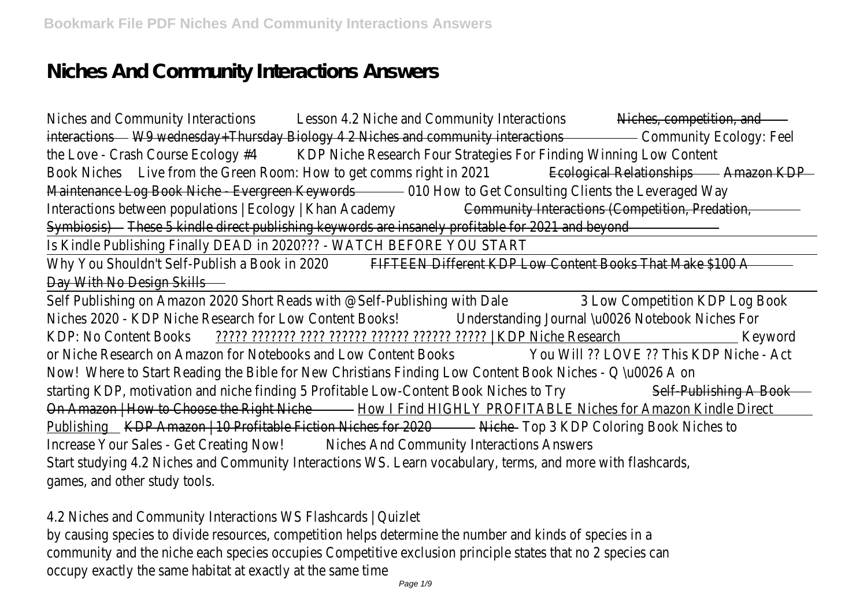# **Niches And Community Interactions Answers**

Niches and Community Interactions asson 4.2 Niche and Community Interactions and Competition, and interactionsW9 wednesday+Thursday Biology 4 2 Niches and community interactions unity Ecology: Feel the Love - Crash Course Ecology **KDP** Niche Research Four Strategies For Finding Winning Low Conter Book Niches Live from the Green Room: How to get comms right in E2024 ical Relationships Amazon KDP Maintenance Log Book Niche - Evergreen Keywords How to Get Consulting Clients the Leveraged Wa Interactions between populations | Ecology | Khan Academy munity Interactions (Competition, Predation Symbiosis) These 5 kindle direct publishing keywords are insanely profitable for 2021 and beyon

Is Kindle Publishing Finally DEAD in 2020??? - WATCH BEFORE YOU STAR

Why You Shouldn't Self-Publish a Book in 20 DED EEN Different KDP Low Content Books That Make \$100 Day With No Design Skills

Self Publishing on Amazon 2020 Short Reads with @Self-Publishing wit<sup>h</sup> Dale Competition KDP Log Book Niches 2020 - KDP Niche Research for Low Content Boloks erstanding Journal \u0026 Notebook Niches Fo KDP: No Content Books ????? ??????? ???? ?????? ?????? ?????? ????? | KDP Niche Research Keyword or Niche Research on Amazon for Notebooks and Low Content Books Will ?? LOVE ?? This KDP Niche - Act Now! Where to Start Reading the Bible for New Christians Finding Low Content Book Niches - Q \u0026 A starting KDP, motivation and niche finding 5 Profitable Low-Content Book Niche Salf-Publishing A Book On Amazon | How to Choose the Right Nidbey I Find HIGHLY PROFITABLE Niches for Amazon Kindle Direct Publishing KDP Amazon | 10 Profitable Fiction Niches for 2020 Top 3 KDP Coloring Book Niches to Increase Your Sales - Get Creating No Withes And Community Interactions Answers Start studying 4.2 Niches and Community Interactions WS. Learn vocabulary, terms, and more with flashcard games, and other study tools.

4.2 Niches and Community Interactions WS Flashcards | Quizlet

by causing species to divide resources, competition helps determine the number and kinds of species in community and the niche each species occupies Competitive exclusion principle states that no 2 species can occupy exactly the same habitat at exactly at the same tim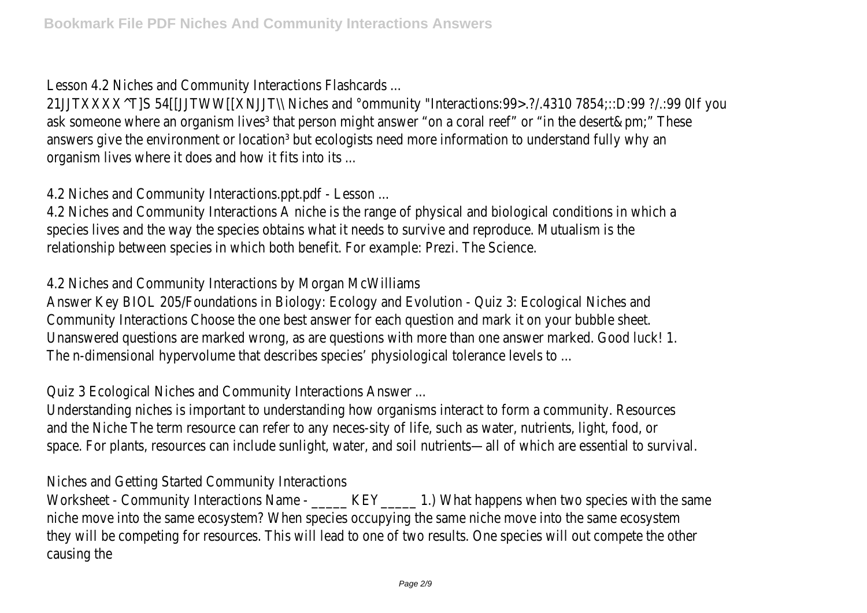Lesson 4.2 Niches and Community Interactions Flashcards ...

21JJTXXXX^T]S 54[[JJTWW[[XNJJT\\ Niches and °ommunity "Interactions:99>.?/.4310 7854:::D:99 ?/.:99 OIf you ask someone where an organism lives<sup>3</sup> that person might answer "on a coral reef" or "in the desert&pm;" The answers give the environment or location<sup>3</sup> but ecologists need more information to understand fully why organism lives where it does and how it fits into its ...

4.2 Niches and Community Interactions.ppt.pdf - Lesson.

4.2 Niches and Community Interactions A niche is the range of physical and biological conditions in which species lives and the way the species obtains what it needs to survive and reproduce. Mutualism is the relationship between species in which both benefit. For example: Prezi. The Scienc

4.2 Niches and Community Interactions by Morgan McWilliams

Answer Key BIOL 205/Foundations in Biology: Ecology and Evolution - Quiz 3: Ecological Niches ar Community Interactions Choose the one best answer for each question and mark it on your bubble sheet. Unanswered questions are marked wrong, as are questions with more than one answer marked. Good luck! 1. The n-dimensional hypervolume that describes species' physiological tolerance levels to ...

Quiz 3 Ecological Niches and Community Interactions Answer ...

Understanding niches is important to understanding how organisms interact to form a community. Resource and the Niche The term resource can refer to any neces-sity of life, such as water, nutrients, light, food, space. For plants, resources can include sunlight, water, and soil nutrients—all of which are essential to surv

Niches and Getting Started Community Interactions

Worksheet - Community Interactions Name - \_\_\_\_\_ KEY\_\_\_\_\_ 1.) What happens when two species with the niche move into the same ecosystem? When species occupying the same niche move into the same ecosyste they will be competing for resources. This will lead to one of two results. One species will out compete the causing the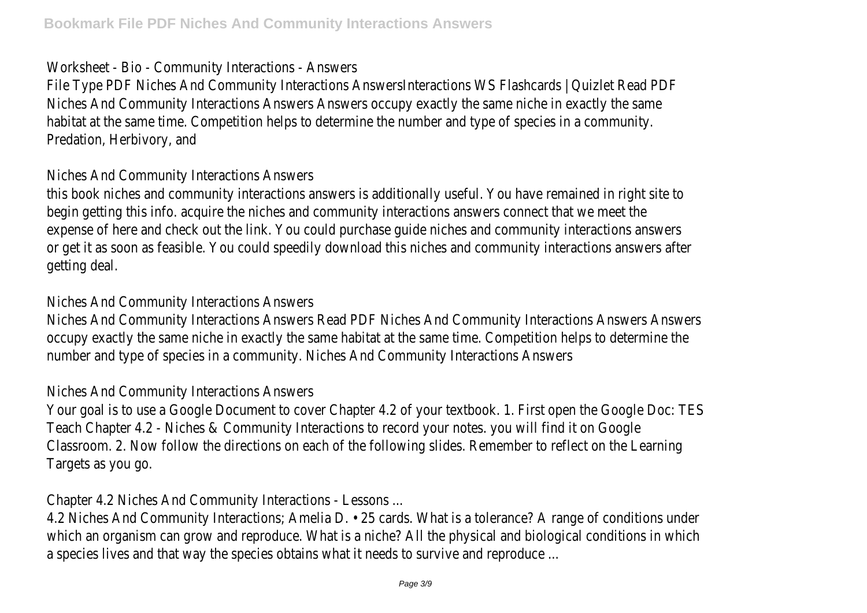### Worksheet - Bio - Community Interactions - Answer

File Type PDF Niches And Community Interactions AnswersInteractions WS Flashcards | Quizlet Read PI Niches And Community Interactions Answers Answers occupy exactly the same niche in exactly the same habitat at the same time. Competition helps to determine the number and type of species in a community Predation, Herbivory, and

### Niches And Community Interactions Answers

this book niches and community interactions answers is additionally useful. You have remained in right site to begin getting this info. acquire the niches and community interactions answers connect that we meet t expense of here and check out the link. You could purchase guide niches and community interactions answer or get it as soon as feasible. You could speedily download this niches and community interactions answers a getting deal.

# Niches And Community Interactions Answers

Niches And Community Interactions Answers Read PDF Niches And Community Interactions Answers Answers occupy exactly the same niche in exactly the same habitat at the same time. Competition helps to determine number and type of species in a community. Niches And Community Interactions Answer

# Niches And Community Interactions Answers

Your goal is to use a Google Document to cover Chapter 4.2 of your textbook. 1. First open the Google Doc: Teach Chapter 4.2 - Niches & Community Interactions to record your notes. you will find it on Good Classroom. 2. Now follow the directions on each of the following slides. Remember to reflect on the Learni Targets as you go.

Chapter 4.2 Niches And Community Interactions - Lessons ...

4.2 Niches And Community Interactions; Amelia D. • 25 cards. What is a tolerance? A range of conditions under which an organism can grow and reproduce. What is a niche? All the physical and biological conditions in whi a species lives and that way the species obtains what it needs to survive and reproduce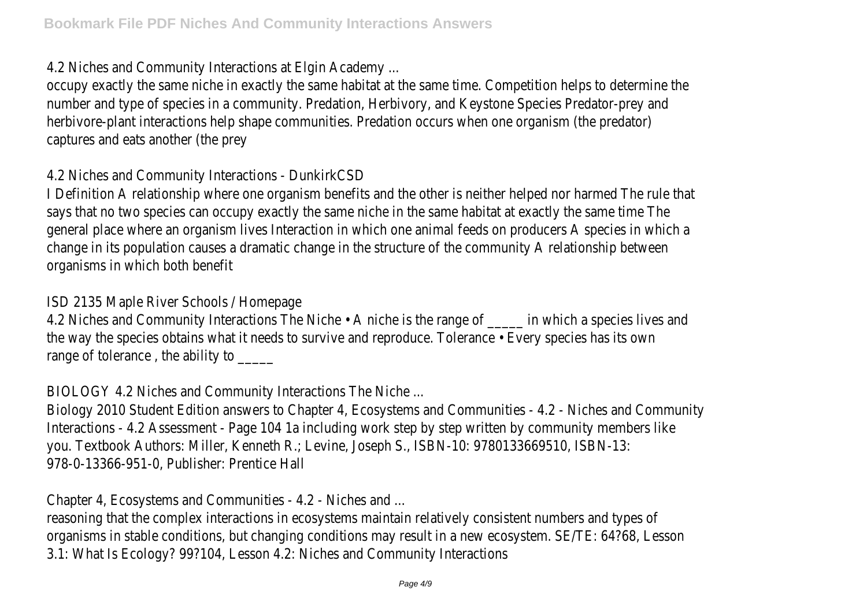4.2 Niches and Community Interactions at Elgin Academy ...

occupy exactly the same niche in exactly the same habitat at the same time. Competition helps to determine number and type of species in a community. Predation, Herbivory, and Keystone Species Predator-prey and herbivore-plant interactions help shape communities. Predation occurs when one organism (the predator) captures and eats another (the prey

4.2 Niches and Community Interactions - DunkirkCSI

I Definition A relationship where one organism benefits and the other is neither helped nor harmed The rule to says that no two species can occupy exactly the same niche in the same habitat at exactly the same time T general place where an organism lives Interaction in which one animal feeds on producers A species in which change in its population causes a dramatic change in the structure of the community A relationship betwee organisms in which both benefit

ISD 2135 Maple River Schools / Homepage

4.2 Niches and Community Interactions The Niche • A niche is the range of \_\_\_\_\_ in which a species lives ar the way the species obtains what it needs to survive and reproduce. Tolerance • Every species has its ov range of tolerance, the ability to

BIOLOGY 4.2 Niches and Community Interactions The Niche ...

Biology 2010 Student Edition answers to Chapter 4, Ecosystems and Communities - 4.2 - Niches and Comm Interactions - 4.2 Assessment - Page 104 1a including work step by step written by community members lile you. Textbook Authors: Miller, Kenneth R.; Levine, Joseph S., ISBN-10: 9780133669510, ISBN-1 978-0-13366-951-0, Publisher: Prentice Hall

Chapter 4, Ecosystems and Communities - 4.2 - Niches and ...

reasoning that the complex interactions in ecosystems maintain relatively consistent numbers and types of organisms in stable conditions, but changing conditions may result in a new ecosystem. SE/TE: 64?68, Lesson 3.1: What Is Ecology? 99?104, Lesson 4.2: Niches and Community Interaction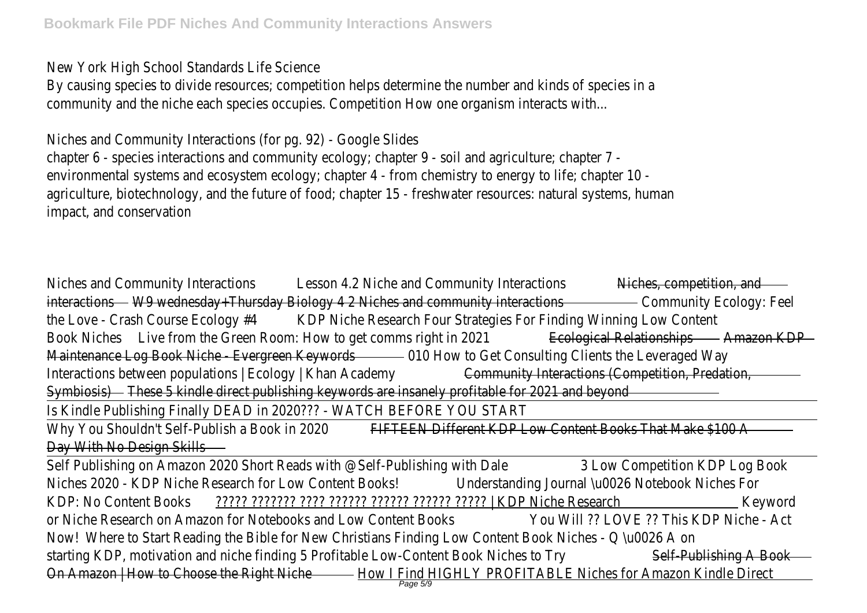New York High School Standards Life Science

By causing species to divide resources; competition helps determine the number and kinds of species in community and the niche each species occupies. Competition How one organism interacts with.

Niches and Community Interactions (for pg. 92) - Google Slide chapter 6 - species interactions and community ecology; chapter 9 - soil and agriculture; chapter 7 environmental systems and ecosystem ecology; chapter 4 - from chemistry to energy to life; chapter 10 agriculture, biotechnology, and the future of food; chapter 15 - freshwater resources: natural systems, human impact, and conservation

Niches and Community Interactions asson 4.2 Niche and Community Interactionshipshes, competition, and interactionsW9 wednesday+Thursday Biology 4 2 Niches and community interactions unity Ecology: Fee the Love - Crash Course Ecology **KDP** Niche Research Four Strategies For Finding Winning Low Conter Book Niches Live from the Green Room: How to get comms right in E20 antical Relationships Amazon KDP Maintenance Log Book Niche - Evergreen Keywords How to Get Consulting Clients the Leveraged Wa Interactions between populations | Ecology | Khan Academy munity Interactions (Competition, Predation Symbiosis) These 5 kindle direct publishing keywords are insanely profitable for 2021 and beyon

Is Kindle Publishing Finally DEAD in 2020??? - WATCH BEFORE YOU START

Why You Shouldn't Self-Publish a Book in 20 PEO EEN Different KDP Low Content Books That Make \$100 Day With No Design Skills

Self Publishing on Amazon 2020 Short Reads with @Self-Publishing wit<sup>h</sup> Dale Competition KDP Log Book Niches 2020 - KDP Niche Research for Low Content Boloks erstanding Journal \u0026 Notebook Niches For KDP: No Content Books ????? ??????? ???? ?????? ?????? ?????? ????? | KDP Niche Research Keyword or Niche Research on Amazon for Notebooks and Low Content Books Will ?? LOVE ?? This KDP Niche - Act Now! Where to Start Reading the Bible for New Christians Finding Low Content Book Niches - Q \u0026 A starting KDP, motivation and niche finding 5 Profitable Low-Content Book Niche Salf-Publishing A Book On Amazon | How to Choose the Right Ni<u>ldbov | Find HIGHLY PROFITABLE Niches for Amazon Kindle Dir</u>ed<br>Page 5/9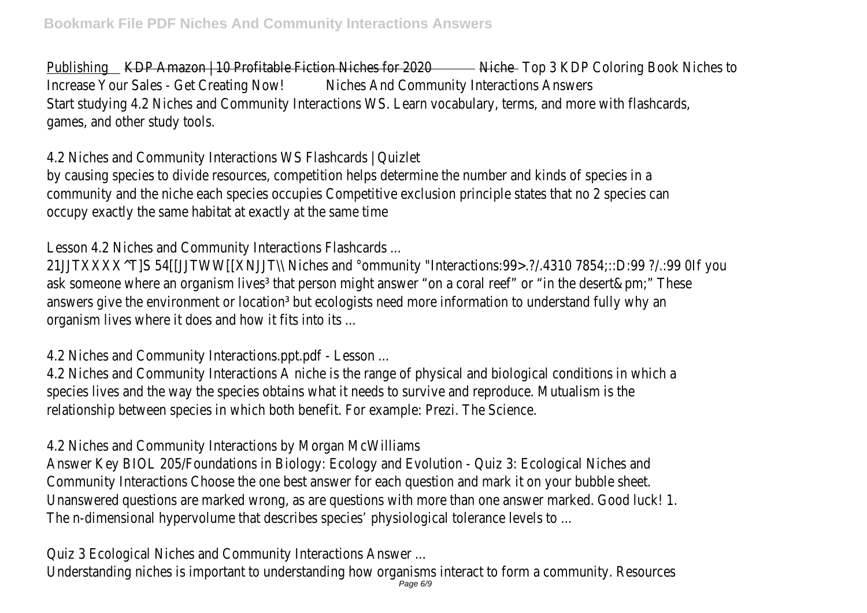Publishing KDP Amazon | 10 Profitable Fiction Niches for 2020 Top 3 KDP Coloring Book Niches to Increase Your Sales - Get Creating No Withes And Community Interactions Answers Start studying 4.2 Niches and Community Interactions WS. Learn vocabulary, terms, and more with flashcard games, and other study tools.

4.2 Niches and Community Interactions WS Flashcards | Quizlet

by causing species to divide resources, competition helps determine the number and kinds of species in community and the niche each species occupies Competitive exclusion principle states that no 2 species can occupy exactly the same habitat at exactly at the same tim

Lesson 4.2 Niches and Community Interactions Flashcards ...

21JJTXXXX^T]S 54[[JJTWW[[XNJJT\\ Niches and °ommunity "Interactions:99>.?/.4310 7854;::D:99 ?/.:99 OIf you ask someone where an organism lives<sup>3</sup> that person might answer "on a coral reef" or "in the desert&pm;" The answers give the environment or location<sup>3</sup> but ecologists need more information to understand fully why and organism lives where it does and how it fits into its ...

4.2 Niches and Community Interactions.ppt.pdf - Lesson ...

4.2 Niches and Community Interactions A niche is the range of physical and biological conditions in which species lives and the way the species obtains what it needs to survive and reproduce. Mutualism is the relationship between species in which both benefit. For example: Prezi. The Scienc

4.2 Niches and Community Interactions by Morgan McWilliams

Answer Key BIOL 205/Foundations in Biology: Ecology and Evolution - Quiz 3: Ecological Niches ar Community Interactions Choose the one best answer for each question and mark it on your bubble sheet. Unanswered questions are marked wrong, as are questions with more than one answer marked. Good luck! 1. The n-dimensional hypervolume that describes species' physiological tolerance levels to ...

Quiz 3 Ecological Niches and Community Interactions Answer ...

Understanding niches is important to understanding how organisms interact to form a community. Resourc<br>Page 6/9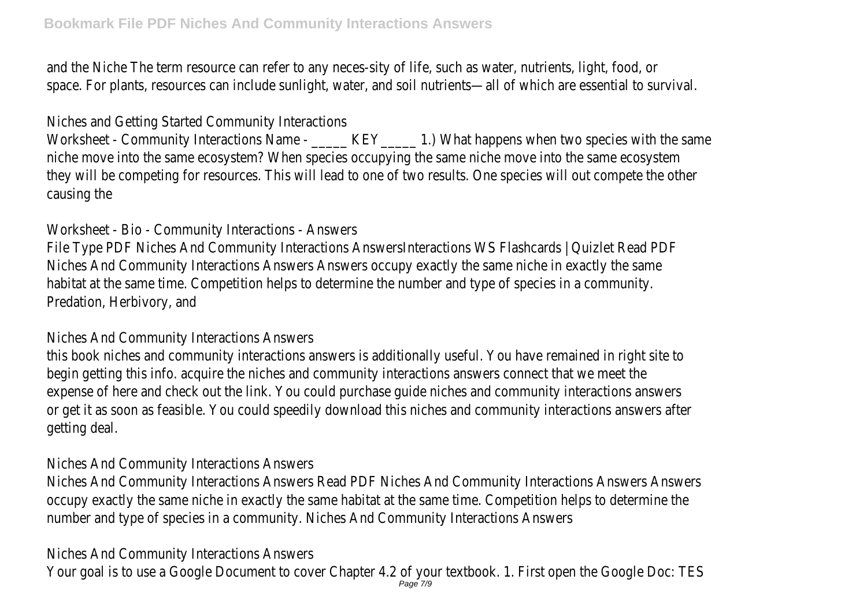and the Niche The term resource can refer to any neces-sity of life, such as water, nutrients, light, food, space. For plants, resources can include sunlight, water, and soil nutrients—all of which are essential to surv

Niches and Getting Started Community Interactions

Worksheet - Community Interactions Name - \_\_\_\_\_ KEY\_\_\_\_\_ 1.) What happens when two species with the niche move into the same ecosystem? When species occupying the same niche move into the same ecosyste they will be competing for resources. This will lead to one of two results. One species will out compete the causing the

Worksheet - Bio - Community Interactions - Answer

File Type PDF Niches And Community Interactions AnswersInteractions WS Flashcards | Quizlet Read PI Niches And Community Interactions Answers Answers occupy exactly the same niche in exactly the same habitat at the same time. Competition helps to determine the number and type of species in a community Predation, Herbivory, and

Niches And Community Interactions Answers

this book niches and community interactions answers is additionally useful. You have remained in right site to begin getting this info. acquire the niches and community interactions answers connect that we meet t expense of here and check out the link. You could purchase quide niches and community interactions answer or get it as soon as feasible. You could speedily download this niches and community interactions answers a getting deal.

Niches And Community Interactions Answers

Niches And Community Interactions Answers Read PDF Niches And Community Interactions Answers Answers occupy exactly the same niche in exactly the same habitat at the same time. Competition helps to determine number and type of species in a community. Niches And Community Interactions Answer

Niches And Community Interactions Answers

Your goal is to use a Google Document to cover Chapter 4.2 of your textbook. 1. First open the Google Doc:<br>Page 7/9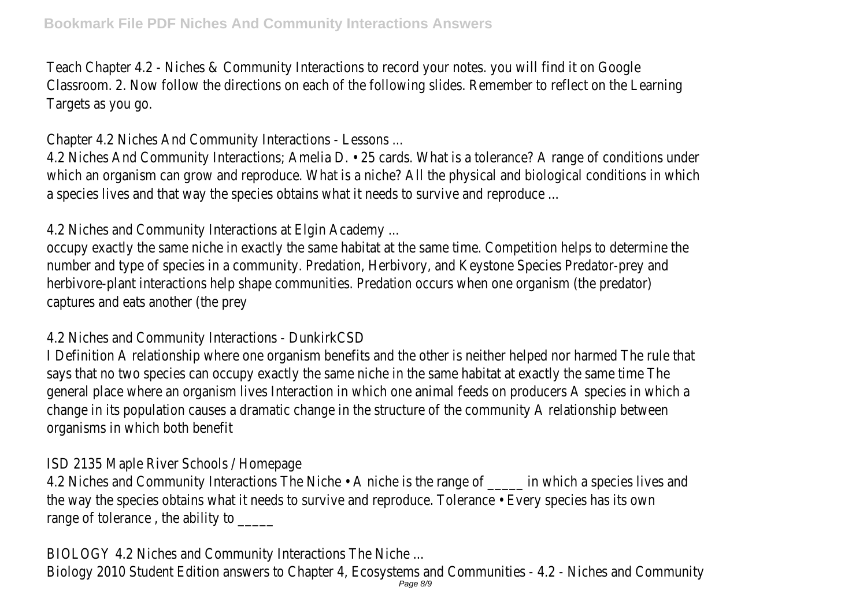Teach Chapter 4.2 - Niches & Community Interactions to record your notes, you will find it on Good Classroom. 2. Now follow the directions on each of the following slides. Remember to reflect on the Learni Targets as you go.

Chapter 4.2 Niches And Community Interactions - Lessons ...

4.2 Niches And Community Interactions; Amelia D. • 25 cards. What is a tolerance? A range of conditions under which an organism can grow and reproduce. What is a niche? All the physical and biological conditions in whi a species lives and that way the species obtains what it needs to survive and reproduce

4.2 Niches and Community Interactions at Elgin Academy.

occupy exactly the same niche in exactly the same habitat at the same time. Competition helps to determine number and type of species in a community. Predation, Herbivory, and Keystone Species Predator-prey and herbivore-plant interactions help shape communities. Predation occurs when one organism (the predator) captures and eats another (the prey

4.2 Niches and Community Interactions - DunkirkCSI

I Definition A relationship where one organism benefits and the other is neither helped nor harmed The rule t says that no two species can occupy exactly the same niche in the same habitat at exactly the same time T general place where an organism lives Interaction in which one animal feeds on producers A species in which change in its population causes a dramatic change in the structure of the community A relationship between organisms in which both benefit

ISD 2135 Maple River Schools / Homepage

4.2 Niches and Community Interactions The Niche • A niche is the range of \_\_\_\_\_ in which a species lives are the way the species obtains what it needs to survive and reproduce. Tolerance • Every species has its ov range of tolerance, the ability to \_\_\_\_\_

BIOLOGY 4.2 Niches and Community Interactions The Niche ...

Biology 2010 Student Edition answers to Chapter 4, Ecosystems and Communities - 4.2 - Niches and Commi<br>Page 8/9